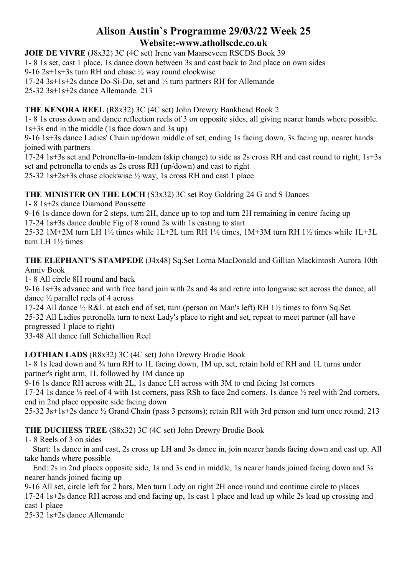## **Alison Austin`s Programme 29/03/22 Week 25 Website:-www.athollscdc.co.uk**

**JOIE DE VIVRE** (J8x32) 3C (4C set) Irene van Maarseveen RSCDS Book 39 1- 8 1s set, cast 1 place, 1s dance down between 3s and cast back to 2nd place on own sides 9-16 2s+1s+3s turn RH and chase  $\frac{1}{2}$  way round clockwise 17-24 3s+1s+2s dance Do-Si-Do, set and ½ turn partners RH for Allemande 25-32 3s+1s+2s dance Allemande. 213

### **THE KENORA REEL** (R8x32) 3C (4C set) John Drewry Bankhead Book 2

1- 8 1s cross down and dance reflection reels of 3 on opposite sides, all giving nearer hands where possible. 1s+3s end in the middle (1s face down and 3s up)

9-16 1s+3s dance Ladies' Chain up/down middle of set, ending 1s facing down, 3s facing up, nearer hands joined with partners

17-24 1s+3s set and Petronella-in-tandem (skip change) to side as 2s cross RH and cast round to right; 1s+3s set and petronella to ends as 2s cross RH (up/down) and cast to right

25-32 1s+2s+3s chase clockwise ½ way, 1s cross RH and cast 1 place

**THE MINISTER ON THE LOCH** (S3x32) 3C set Roy Goldring 24 G and S Dances

1- 8 1s+2s dance Diamond Poussette

9-16 1s dance down for 2 steps, turn 2H, dance up to top and turn 2H remaining in centre facing up

17-24 1s+3s dance double Fig of 8 round 2s with 1s casting to start

25-32 1M+2M turn LH 1½ times while 1L+2L turn RH 1½ times, 1M+3M turn RH 1½ times while 1L+3L turn LH 1½ times

**THE ELEPHANT'S STAMPEDE** (J4x48) Sq.Set Lorna MacDonald and Gillian Mackintosh Aurora 10th Anniv Book

1- 8 All circle 8H round and back

9-16 1s+3s advance and with free hand join with 2s and 4s and retire into longwise set across the dance, all dance ½ parallel reels of 4 across

17-24 All dance ½ R&L at each end of set, turn (person on Man's left) RH 1½ times to form Sq.Set 25-32 All Ladies petronella turn to next Lady's place to right and set, repeat to meet partner (all have progressed 1 place to right)

33-48 All dance full Schiehallion Reel

**LOTHIAN LADS** (R8x32) 3C (4C set) John Drewry Brodie Book

1- 8 1s lead down and ¾ turn RH to 1L facing down, 1M up, set, retain hold of RH and 1L turns under partner's right arm, 1L followed by 1M dance up

9-16 1s dance RH across with 2L, 1s dance LH across with 3M to end facing 1st corners

17-24 1s dance ½ reel of 4 with 1st corners, pass RSh to face 2nd corners. 1s dance ½ reel with 2nd corners, end in 2nd place opposite side facing down

25-32 3s+1s+2s dance ½ Grand Chain (pass 3 persons); retain RH with 3rd person and turn once round. 213

**THE DUCHESS TREE** (S8x32) 3C (4C set) John Drewry Brodie Book

1- 8 Reels of 3 on sides

Start: 1s dance in and cast, 2s cross up LH and 3s dance in, join nearer hands facing down and cast up. All take hands where possible

End: 2s in 2nd places opposite side, 1s and 3s end in middle, 1s nearer hands joined facing down and 3s nearer hands joined facing up

9-16 All set, circle left for 2 bars, Men turn Lady on right 2H once round and continue circle to places 17-24 1s+2s dance RH across and end facing up, 1s cast 1 place and lead up while 2s lead up crossing and cast 1 place

25-32 1s+2s dance Allemande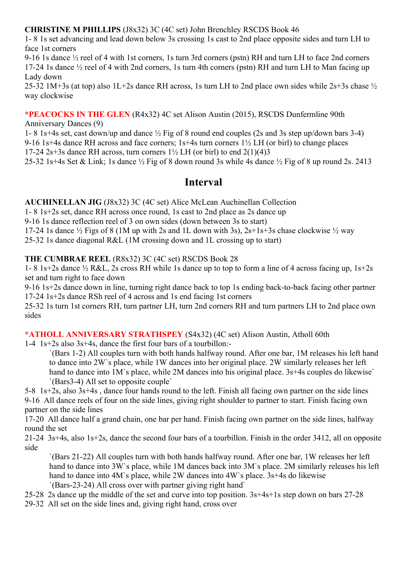#### **CHRISTINE M PHILLIPS** (J8x32) 3C (4C set) John Brenchley RSCDS Book 46

1- 8 1s set advancing and lead down below 3s crossing 1s cast to 2nd place opposite sides and turn LH to face 1st corners

9-16 1s dance ½ reel of 4 with 1st corners, 1s turn 3rd corners (pstn) RH and turn LH to face 2nd corners 17-24 1s dance ½ reel of 4 with 2nd corners, 1s turn 4th corners (pstn) RH and turn LH to Man facing up Lady down

25-32 1M+3s (at top) also 1L+2s dance RH across, 1s turn LH to 2nd place own sides while 2s+3s chase ½ way clockwise

**\*PEACOCKS IN THE GLEN** (R4x32) 4C set Alison Austin (2015), RSCDS Dunfermline 90th

Anniversary Dances (9)

1- 8 1s+4s set, cast down/up and dance ½ Fig of 8 round end couples (2s and 3s step up/down bars 3-4)

9-16 1s+4s dance RH across and face corners; 1s+4s turn corners 1½ LH (or birl) to change places

17-24 2s+3s dance RH across, turn corners  $1\frac{1}{2}$  LH (or birl) to end  $2(1)(4)3$ 

25-32 1s+4s Set & Link; 1s dance ½ Fig of 8 down round 3s while 4s dance ½ Fig of 8 up round 2s. 2413

# **Interval**

**AUCHINELLAN JIG** (J8x32) 3C (4C set) Alice McLean Auchinellan Collection

1- 8 1s+2s set, dance RH across once round, 1s cast to 2nd place as 2s dance up

9-16 1s dance reflection reel of 3 on own sides (down between 3s to start)

17-24 1s dance  $\frac{1}{2}$  Figs of 8 (1M up with 2s and 1L down with 3s), 2s+1s+3s chase clockwise  $\frac{1}{2}$  way

25-32 1s dance diagonal R&L (1M crossing down and 1L crossing up to start)

#### **THE CUMBRAE REEL** (R8x32) 3C (4C set) RSCDS Book 28

1- 8 1s+2s dance ½ R&L, 2s cross RH while 1s dance up to top to form a line of 4 across facing up, 1s+2s set and turn right to face down

9-16 1s+2s dance down in line, turning right dance back to top 1s ending back-to-back facing other partner 17-24 1s+2s dance RSh reel of 4 across and 1s end facing 1st corners

25-32 1s turn 1st corners RH, turn partner LH, turn 2nd corners RH and turn partners LH to 2nd place own sides

#### **\*ATHOLL ANNIVERSARY STRATHSPEY** (S4x32) (4C set) Alison Austin, Atholl 60th

1-4 1s+2s also 3s+4s, dance the first four bars of a tourbillon:-

`(Bars 1-2) All couples turn with both hands halfway round. After one bar, 1M releases his left hand to dance into 2W`s place, while 1W dances into her original place. 2W similarly releases her left hand to dance into 1M's place, while 2M dances into his original place. 3s+4s couples do likewise' `(Bars3-4) All set to opposite couple`

5-8 1s+2s, also 3s+4s , dance four hands round to the left. Finish all facing own partner on the side lines 9-16 All dance reels of four on the side lines, giving right shoulder to partner to start. Finish facing own partner on the side lines

17-20 All dance half a grand chain, one bar per hand. Finish facing own partner on the side lines, halfway round the set

21-24 3s+4s, also 1s+2s, dance the second four bars of a tourbillon. Finish in the order 3412, all on opposite side

`(Bars 21-22) All couples turn with both hands halfway round. After one bar, 1W releases her left hand to dance into 3W's place, while 1M dances back into 3M's place. 2M similarly releases his left hand to dance into 4M's place, while 2W dances into 4W's place, 3s+4s do likewise `(Bars-23-24) All cross over with partner giving right hand`

- 25-28 2s dance up the middle of the set and curve into top position. 3s+4s+1s step down on bars 27-28
- 29-32 All set on the side lines and, giving right hand, cross over